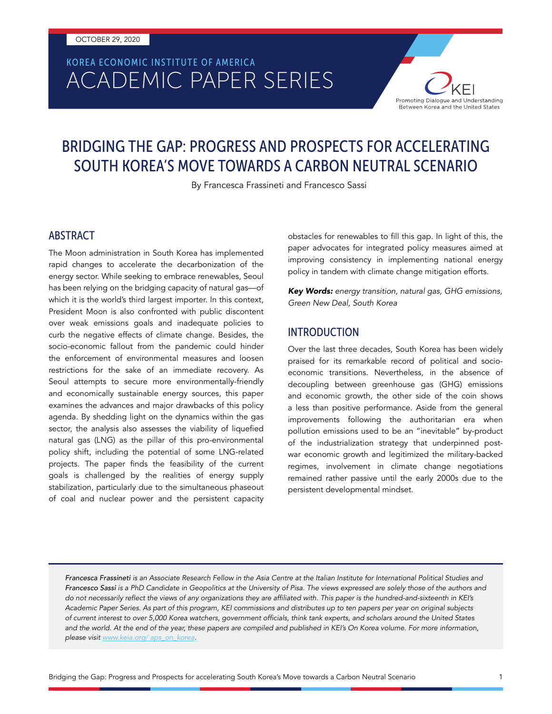OCTOBER 29, 2020

# ACADEMIC PAPER SERIES KOREA ECONOMIC INSTITUTE OF AMERICA



# BRIDGING THE GAP: PROGRESS AND PROSPECTS FOR ACCELERATING SOUTH KOREA'S MOVE TOWARDS A CARBON NEUTRAL SCENARIO

By Francesca Frassineti and Francesco Sassi

#### ABSTRACT

The Moon administration in South Korea has implemented rapid changes to accelerate the decarbonization of the energy sector. While seeking to embrace renewables, Seoul has been relying on the bridging capacity of natural gas—of which it is the world's third largest importer. In this context, President Moon is also confronted with public discontent over weak emissions goals and inadequate policies to curb the negative effects of climate change. Besides, the socio-economic fallout from the pandemic could hinder the enforcement of environmental measures and loosen restrictions for the sake of an immediate recovery. As Seoul attempts to secure more environmentally-friendly and economically sustainable energy sources, this paper examines the advances and major drawbacks of this policy agenda. By shedding light on the dynamics within the gas sector, the analysis also assesses the viability of liquefied natural gas (LNG) as the pillar of this pro-environmental policy shift, including the potential of some LNG-related projects. The paper finds the feasibility of the current goals is challenged by the realities of energy supply stabilization, particularly due to the simultaneous phaseout of coal and nuclear power and the persistent capacity obstacles for renewables to fill this gap. In light of this, the paper advocates for integrated policy measures aimed at improving consistency in implementing national energy policy in tandem with climate change mitigation efforts.

*Key Words: energy transition, natural gas, GHG emissions, Green New Deal, South Korea*

#### INTRODUCTION

Over the last three decades, South Korea has been widely praised for its remarkable record of political and socioeconomic transitions. Nevertheless, in the absence of decoupling between greenhouse gas (GHG) emissions and economic growth, the other side of the coin shows a less than positive performance. Aside from the general improvements following the authoritarian era when pollution emissions used to be an "inevitable" by-product of the industrialization strategy that underpinned postwar economic growth and legitimized the military-backed regimes, involvement in climate change negotiations remained rather passive until the early 2000s due to the persistent developmental mindset.

*Francesca Frassineti is an Associate Research Fellow in the Asia Centre at the Italian Institute for International Political Studies and Francesco Sassi is a PhD Candidate in Geopolitics at the University of Pisa. The views expressed are solely those of the authors and*  do not necessarily reflect the views of any organizations they are affiliated with. This paper is the hundred-and-sixteenth in KEI's Academic Paper Series. As part of this program, KEI commissions and distributes up to ten papers per year on original subjects of current interest to over 5,000 Korea watchers, government officials, think tank experts, and scholars around the United States and the world. At the end of the year, these papers are compiled and published in KEI's On Korea volume. For more information, *please visit* [www.keia.org/ aps\\_on\\_korea](http://www.keia.org/ aps_on_korea)*.*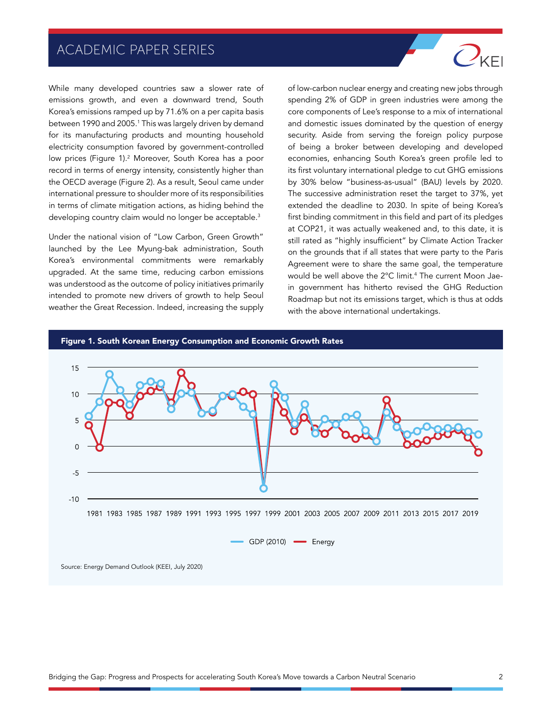While many developed countries saw a slower rate of emissions growth, and even a downward trend, South Korea's emissions ramped up by 71.6% on a per capita basis between 1990 and 2005.<sup>1</sup> This was largely driven by demand for its manufacturing products and mounting household electricity consumption favored by government-controlled low prices (Figure 1).<sup>2</sup> Moreover, South Korea has a poor record in terms of energy intensity, consistently higher than the OECD average (Figure 2). As a result, Seoul came under international pressure to shoulder more of its responsibilities in terms of climate mitigation actions, as hiding behind the developing country claim would no longer be acceptable.<sup>3</sup>

Under the national vision of "Low Carbon, Green Growth" launched by the Lee Myung-bak administration, South Korea's environmental commitments were remarkably upgraded. At the same time, reducing carbon emissions was understood as the outcome of policy initiatives primarily intended to promote new drivers of growth to help Seoul weather the Great Recession. Indeed, increasing the supply

of low-carbon nuclear energy and creating new jobs through spending 2% of GDP in green industries were among the core components of Lee's response to a mix of international and domestic issues dominated by the question of energy security. Aside from serving the foreign policy purpose of being a broker between developing and developed economies, enhancing South Korea's green profile led to its first voluntary international pledge to cut GHG emissions by 30% below "business-as-usual" (BAU) levels by 2020. The successive administration reset the target to 37%, yet extended the deadline to 2030. In spite of being Korea's first binding commitment in this field and part of its pledges at COP21, it was actually weakened and, to this date, it is still rated as "highly insufficient" by Climate Action Tracker on the grounds that if all states that were party to the Paris Agreement were to share the same goal, the temperature would be well above the 2°C limit.4 The current Moon Jaein government has hitherto revised the GHG Reduction Roadmap but not its emissions target, which is thus at odds with the above international undertakings.

 $Q_{\text{KF}}$ 



#### Bridging the Gap: Progress and Prospects for accelerating South Korea's Move towards a Carbon Neutral Scenario 2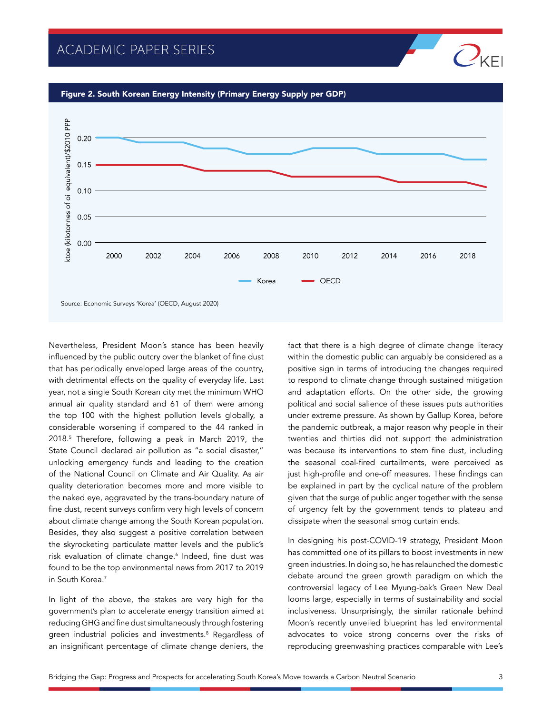

Nevertheless, President Moon's stance has been heavily influenced by the public outcry over the blanket of fine dust that has periodically enveloped large areas of the country, with detrimental effects on the quality of everyday life. Last year, not a single South Korean city met the minimum WHO annual air quality standard and 61 of them were among the top 100 with the highest pollution levels globally, a considerable worsening if compared to the 44 ranked in 2018.5 Therefore, following a peak in March 2019, the State Council declared air pollution as "a social disaster," unlocking emergency funds and leading to the creation of the National Council on Climate and Air Quality. As air quality deterioration becomes more and more visible to the naked eye, aggravated by the trans-boundary nature of fine dust, recent surveys confirm very high levels of concern about climate change among the South Korean population. Besides, they also suggest a positive correlation between the skyrocketing particulate matter levels and the public's risk evaluation of climate change.6 Indeed, fine dust was found to be the top environmental news from 2017 to 2019 in South Korea.7

In light of the above, the stakes are very high for the government's plan to accelerate energy transition aimed at reducing GHG and fine dust simultaneously through fostering green industrial policies and investments.<sup>8</sup> Regardless of an insignificant percentage of climate change deniers, the

fact that there is a high degree of climate change literacy within the domestic public can arguably be considered as a positive sign in terms of introducing the changes required to respond to climate change through sustained mitigation and adaptation efforts. On the other side, the growing political and social salience of these issues puts authorities under extreme pressure. As shown by Gallup Korea, before the pandemic outbreak, a major reason why people in their twenties and thirties did not support the administration was because its interventions to stem fine dust, including the seasonal coal-fired curtailments, were perceived as just high-profile and one-off measures. These findings can be explained in part by the cyclical nature of the problem given that the surge of public anger together with the sense of urgency felt by the government tends to plateau and dissipate when the seasonal smog curtain ends.

In designing his post-COVID-19 strategy, President Moon has committed one of its pillars to boost investments in new green industries. In doing so, he has relaunched the domestic debate around the green growth paradigm on which the controversial legacy of Lee Myung-bak's Green New Deal looms large, especially in terms of sustainability and social inclusiveness. Unsurprisingly, the similar rationale behind Moon's recently unveiled blueprint has led environmental advocates to voice strong concerns over the risks of reproducing greenwashing practices comparable with Lee's

 $O_{\text{KEI}}$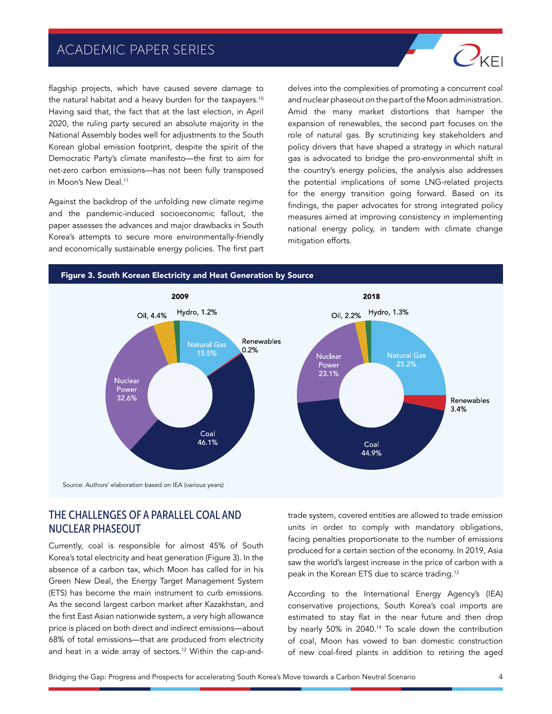

flagship projects, which have caused severe damage to the natural habitat and a heavy burden for the taxpayers.<sup>10</sup> Having said that, the fact that at the last election, in April 2020, the ruling party secured an absolute majority in the National Assembly bodes well for adjustments to the South Korean global emission footprint, despite the spirit of the Democratic Party's climate manifesto—the first to aim for net-zero carbon emissions—has not been fully transposed in Moon's New Deal.<sup>11</sup>

Against the backdrop of the unfolding new climate regime and the pandemic-induced socioeconomic fallout, the paper assesses the advances and major drawbacks in South Korea's attempts to secure more environmentally-friendly and economically sustainable energy policies. The first part

delves into the complexities of promoting a concurrent coal and nuclear phaseout on the part of the Moon administration. Amid the many market distortions that hamper the expansion of renewables, the second part focuses on the role of natural gas. By scrutinizing key stakeholders and policy drivers that have shaped a strategy in which natural gas is advocated to bridge the pro-environmental shift in the country's energy policies, the analysis also addresses the potential implications of some LNG-related projects for the energy transition going forward. Based on its findings, the paper advocates for strong integrated policy measures aimed at improving consistency in implementing national energy policy, in tandem with climate change mitigation efforts.



## THE CHALLENGES OF A PARALLEL COAL AND NUCLEAR PHASEOUT

Currently, coal is responsible for almost 45% of South Korea's total electricity and heat generation (Figure 3). In the absence of a carbon tax, which Moon has called for in his Green New Deal, the Energy Target Management System (ETS) has become the main instrument to curb emissions. As the second largest carbon market after Kazakhstan, and the first East Asian nationwide system, a very high allowance price is placed on both direct and indirect emissions—about 68% of total emissions—that are produced from electricity and heat in a wide array of sectors.12 Within the cap-andtrade system, covered entities are allowed to trade emission units in order to comply with mandatory obligations, facing penalties proportionate to the number of emissions produced for a certain section of the economy. In 2019, Asia saw the world's largest increase in the price of carbon with a peak in the Korean ETS due to scarce trading.13

According to the International Energy Agency's (IEA) conservative projections, South Korea's coal imports are estimated to stay flat in the near future and then drop by nearly 50% in 2040.14 To scale down the contribution of coal, Moon has vowed to ban domestic construction of new coal-fired plants in addition to retiring the aged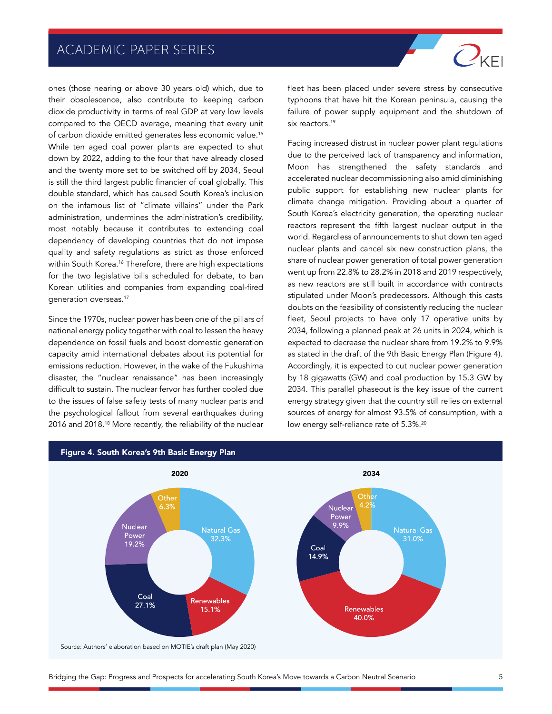ones (those nearing or above 30 years old) which, due to their obsolescence, also contribute to keeping carbon dioxide productivity in terms of real GDP at very low levels compared to the OECD average, meaning that every unit of carbon dioxide emitted generates less economic value.15 While ten aged coal power plants are expected to shut down by 2022, adding to the four that have already closed and the twenty more set to be switched off by 2034, Seoul is still the third largest public financier of coal globally. This double standard, which has caused South Korea's inclusion on the infamous list of "climate villains" under the Park administration, undermines the administration's credibility, most notably because it contributes to extending coal dependency of developing countries that do not impose quality and safety regulations as strict as those enforced within South Korea.<sup>16</sup> Therefore, there are high expectations for the two legislative bills scheduled for debate, to ban Korean utilities and companies from expanding coal-fired generation overseas.17

Since the 1970s, nuclear power has been one of the pillars of national energy policy together with coal to lessen the heavy dependence on fossil fuels and boost domestic generation capacity amid international debates about its potential for emissions reduction. However, in the wake of the Fukushima disaster, the "nuclear renaissance" has been increasingly difficult to sustain. The nuclear fervor has further cooled due to the issues of false safety tests of many nuclear parts and the psychological fallout from several earthquakes during 2016 and 2018.18 More recently, the reliability of the nuclear fleet has been placed under severe stress by consecutive typhoons that have hit the Korean peninsula, causing the failure of power supply equipment and the shutdown of six reactors.<sup>19</sup>

 $\overline{O_{\text{KF}}}$ 

Facing increased distrust in nuclear power plant regulations due to the perceived lack of transparency and information, Moon has strengthened the safety standards and accelerated nuclear decommissioning also amid diminishing public support for establishing new nuclear plants for climate change mitigation. Providing about a quarter of South Korea's electricity generation, the operating nuclear reactors represent the fifth largest nuclear output in the world. Regardless of announcements to shut down ten aged nuclear plants and cancel six new construction plans, the share of nuclear power generation of total power generation went up from 22.8% to 28.2% in 2018 and 2019 respectively, as new reactors are still built in accordance with contracts stipulated under Moon's predecessors. Although this casts doubts on the feasibility of consistently reducing the nuclear fleet, Seoul projects to have only 17 operative units by 2034, following a planned peak at 26 units in 2024, which is expected to decrease the nuclear share from 19.2% to 9.9% as stated in the draft of the 9th Basic Energy Plan (Figure 4). Accordingly, it is expected to cut nuclear power generation by 18 gigawatts (GW) and coal production by 15.3 GW by 2034. This parallel phaseout is the key issue of the current energy strategy given that the country still relies on external sources of energy for almost 93.5% of consumption, with a low energy self-reliance rate of 5.3%.<sup>20</sup>



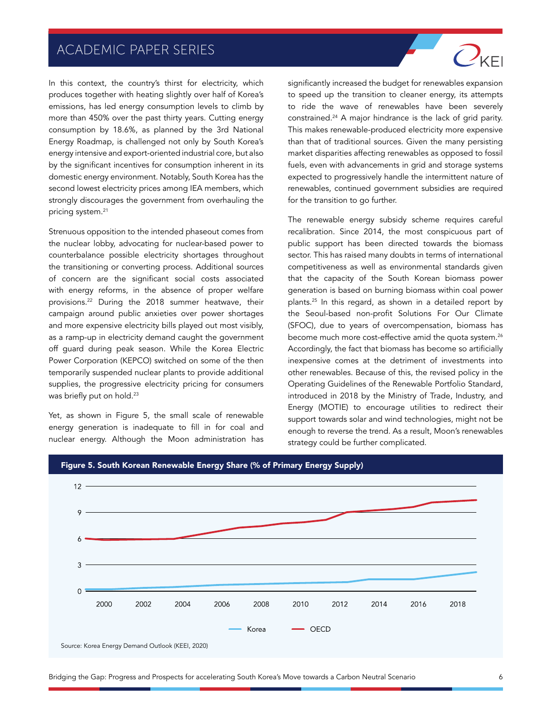In this context, the country's thirst for electricity, which produces together with heating slightly over half of Korea's emissions, has led energy consumption levels to climb by more than 450% over the past thirty years. Cutting energy consumption by 18.6%, as planned by the 3rd National Energy Roadmap, is challenged not only by South Korea's energy intensive and export-oriented industrial core, but also by the significant incentives for consumption inherent in its domestic energy environment. Notably, South Korea has the second lowest electricity prices among IEA members, which strongly discourages the government from overhauling the pricing system.21

Strenuous opposition to the intended phaseout comes from the nuclear lobby, advocating for nuclear-based power to counterbalance possible electricity shortages throughout the transitioning or converting process. Additional sources of concern are the significant social costs associated with energy reforms, in the absence of proper welfare provisions.22 During the 2018 summer heatwave, their campaign around public anxieties over power shortages and more expensive electricity bills played out most visibly, as a ramp-up in electricity demand caught the government off guard during peak season. While the Korea Electric Power Corporation (KEPCO) switched on some of the then temporarily suspended nuclear plants to provide additional supplies, the progressive electricity pricing for consumers was briefly put on hold.<sup>23</sup>

Yet, as shown in Figure 5, the small scale of renewable energy generation is inadequate to fill in for coal and nuclear energy. Although the Moon administration has

significantly increased the budget for renewables expansion to speed up the transition to cleaner energy, its attempts to ride the wave of renewables have been severely constrained.24 A major hindrance is the lack of grid parity. This makes renewable-produced electricity more expensive than that of traditional sources. Given the many persisting market disparities affecting renewables as opposed to fossil fuels, even with advancements in grid and storage systems expected to progressively handle the intermittent nature of renewables, continued government subsidies are required for the transition to go further.

 $O_{\text{KE}}$ 

The renewable energy subsidy scheme requires careful recalibration. Since 2014, the most conspicuous part of public support has been directed towards the biomass sector. This has raised many doubts in terms of international competitiveness as well as environmental standards given that the capacity of the South Korean biomass power generation is based on burning biomass within coal power plants.25 In this regard, as shown in a detailed report by the Seoul-based non-profit Solutions For Our Climate (SFOC), due to years of overcompensation, biomass has become much more cost-effective amid the quota system.<sup>26</sup> Accordingly, the fact that biomass has become so artificially inexpensive comes at the detriment of investments into other renewables. Because of this, the revised policy in the Operating Guidelines of the Renewable Portfolio Standard, introduced in 2018 by the Ministry of Trade, Industry, and Energy (MOTIE) to encourage utilities to redirect their support towards solar and wind technologies, might not be enough to reverse the trend. As a result, Moon's renewables strategy could be further complicated.

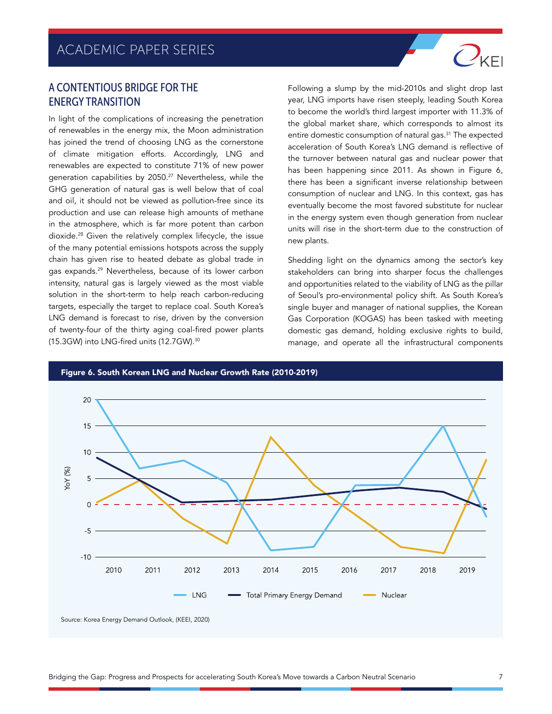## A CONTENTIOUS BRIDGE FOR THE ENERGY TRANSITION

In light of the complications of increasing the penetration of renewables in the energy mix, the Moon administration has joined the trend of choosing LNG as the cornerstone of climate mitigation efforts. Accordingly, LNG and renewables are expected to constitute 71% of new power generation capabilities by 2050.27 Nevertheless, while the GHG generation of natural gas is well below that of coal and oil, it should not be viewed as pollution-free since its production and use can release high amounts of methane in the atmosphere, which is far more potent than carbon dioxide.28 Given the relatively complex lifecycle, the issue of the many potential emissions hotspots across the supply chain has given rise to heated debate as global trade in gas expands.29 Nevertheless, because of its lower carbon intensity, natural gas is largely viewed as the most viable solution in the short-term to help reach carbon-reducing targets, especially the target to replace coal. South Korea's LNG demand is forecast to rise, driven by the conversion of twenty-four of the thirty aging coal-fired power plants (15.3GW) into LNG-fired units (12.7GW).<sup>30</sup>

Following a slump by the mid-2010s and slight drop last year, LNG imports have risen steeply, leading South Korea to become the world's third largest importer with 11.3% of the global market share, which corresponds to almost its entire domestic consumption of natural gas.<sup>31</sup> The expected acceleration of South Korea's LNG demand is reflective of the turnover between natural gas and nuclear power that has been happening since 2011. As shown in Figure 6, there has been a significant inverse relationship between consumption of nuclear and LNG. In this context, gas has eventually become the most favored substitute for nuclear in the energy system even though generation from nuclear units will rise in the short-term due to the construction of new plants.

 $\overline{\mathcal{C}}$ kFl

Shedding light on the dynamics among the sector's key stakeholders can bring into sharper focus the challenges and opportunities related to the viability of LNG as the pillar of Seoul's pro-environmental policy shift. As South Korea's single buyer and manager of national supplies, the Korean Gas Corporation (KOGAS) has been tasked with meeting domestic gas demand, holding exclusive rights to build, manage, and operate all the infrastructural components



Bridging the Gap: Progress and Prospects for accelerating South Korea's Move towards a Carbon Neutral Scenario 7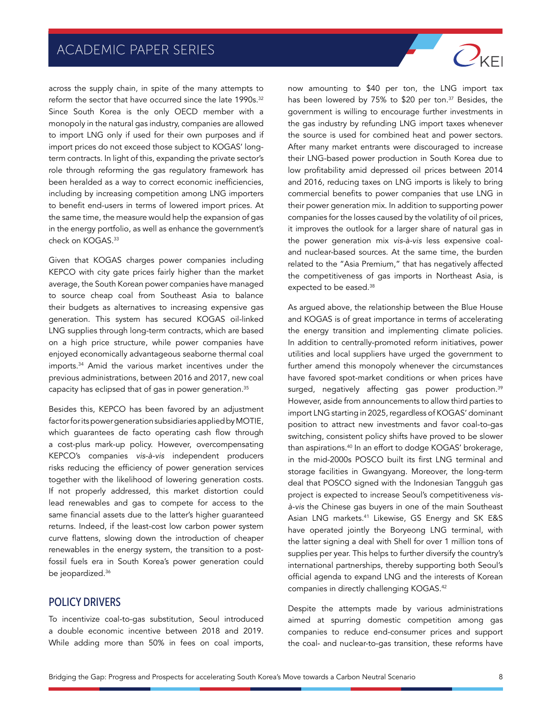across the supply chain, in spite of the many attempts to reform the sector that have occurred since the late 1990s.<sup>32</sup> Since South Korea is the only OECD member with a monopoly in the natural gas industry, companies are allowed to import LNG only if used for their own purposes and if import prices do not exceed those subject to KOGAS' longterm contracts. In light of this, expanding the private sector's role through reforming the gas regulatory framework has been heralded as a way to correct economic inefficiencies, including by increasing competition among LNG importers to benefit end-users in terms of lowered import prices. At the same time, the measure would help the expansion of gas in the energy portfolio, as well as enhance the government's check on KOGAS.33

Given that KOGAS charges power companies including KEPCO with city gate prices fairly higher than the market average, the South Korean power companies have managed to source cheap coal from Southeast Asia to balance their budgets as alternatives to increasing expensive gas generation. This system has secured KOGAS oil-linked LNG supplies through long-term contracts, which are based on a high price structure, while power companies have enjoyed economically advantageous seaborne thermal coal imports.34 Amid the various market incentives under the previous administrations, between 2016 and 2017, new coal capacity has eclipsed that of gas in power generation.<sup>35</sup>

Besides this, KEPCO has been favored by an adjustment factor for its power generation subsidiaries applied by MOTIE, which guarantees de facto operating cash flow through a cost-plus mark-up policy. However, overcompensating KEPCO's companies vis-à-vis independent producers risks reducing the efficiency of power generation services together with the likelihood of lowering generation costs. If not properly addressed, this market distortion could lead renewables and gas to compete for access to the same financial assets due to the latter's higher guaranteed returns. Indeed, if the least-cost low carbon power system curve flattens, slowing down the introduction of cheaper renewables in the energy system, the transition to a postfossil fuels era in South Korea's power generation could be jeopardized.<sup>36</sup>

### POLICY DRIVERS

To incentivize coal-to-gas substitution, Seoul introduced a double economic incentive between 2018 and 2019. While adding more than 50% in fees on coal imports,

now amounting to \$40 per ton, the LNG import tax has been lowered by 75% to \$20 per ton.<sup>37</sup> Besides, the government is willing to encourage further investments in the gas industry by refunding LNG import taxes whenever the source is used for combined heat and power sectors. After many market entrants were discouraged to increase their LNG-based power production in South Korea due to low profitability amid depressed oil prices between 2014 and 2016, reducing taxes on LNG imports is likely to bring commercial benefits to power companies that use LNG in their power generation mix. In addition to supporting power companies for the losses caused by the volatility of oil prices, it improves the outlook for a larger share of natural gas in the power generation mix vis-à-vis less expensive coaland nuclear-based sources. At the same time, the burden related to the "Asia Premium," that has negatively affected the competitiveness of gas imports in Northeast Asia, is expected to be eased.38

 $O_{\text{KF}}$ 

As argued above, the relationship between the Blue House and KOGAS is of great importance in terms of accelerating the energy transition and implementing climate policies. In addition to centrally-promoted reform initiatives, power utilities and local suppliers have urged the government to further amend this monopoly whenever the circumstances have favored spot-market conditions or when prices have surged, negatively affecting gas power production.<sup>39</sup> However, aside from announcements to allow third parties to import LNG starting in 2025, regardless of KOGAS' dominant position to attract new investments and favor coal-to-gas switching, consistent policy shifts have proved to be slower than aspirations.40 In an effort to dodge KOGAS' brokerage, in the mid-2000s POSCO built its first LNG terminal and storage facilities in Gwangyang. Moreover, the long-term deal that POSCO signed with the Indonesian Tangguh gas project is expected to increase Seoul's competitiveness visà-vis the Chinese gas buyers in one of the main Southeast Asian LNG markets.<sup>41</sup> Likewise, GS Energy and SK E&S have operated jointly the Boryeong LNG terminal, with the latter signing a deal with Shell for over 1 million tons of supplies per year. This helps to further diversify the country's international partnerships, thereby supporting both Seoul's official agenda to expand LNG and the interests of Korean companies in directly challenging KOGAS.42

Despite the attempts made by various administrations aimed at spurring domestic competition among gas companies to reduce end-consumer prices and support the coal- and nuclear-to-gas transition, these reforms have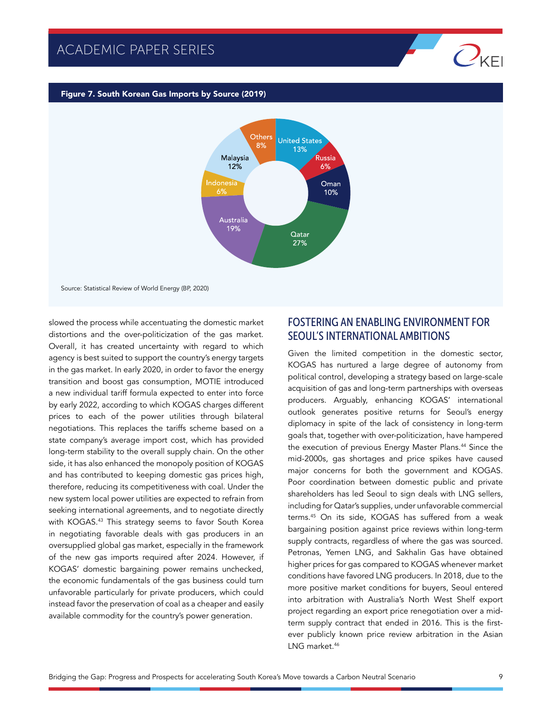#### Figure 7. South Korean Gas Imports by Source (2019)



Source: Statistical Review of World Energy (BP, 2020)

slowed the process while accentuating the domestic market distortions and the over-politicization of the gas market. Overall, it has created uncertainty with regard to which agency is best suited to support the country's energy targets in the gas market. In early 2020, in order to favor the energy transition and boost gas consumption, MOTIE introduced a new individual tariff formula expected to enter into force by early 2022, according to which KOGAS charges different prices to each of the power utilities through bilateral negotiations. This replaces the tariffs scheme based on a state company's average import cost, which has provided long-term stability to the overall supply chain. On the other side, it has also enhanced the monopoly position of KOGAS and has contributed to keeping domestic gas prices high, therefore, reducing its competitiveness with coal. Under the new system local power utilities are expected to refrain from seeking international agreements, and to negotiate directly with KOGAS.43 This strategy seems to favor South Korea in negotiating favorable deals with gas producers in an oversupplied global gas market, especially in the framework of the new gas imports required after 2024. However, if KOGAS' domestic bargaining power remains unchecked, the economic fundamentals of the gas business could turn unfavorable particularly for private producers, which could instead favor the preservation of coal as a cheaper and easily available commodity for the country's power generation.

## FOSTERING AN ENABLING ENVIRONMENT FOR SEOUL'S INTERNATIONAL AMBITIONS

 $Q_{\text{KF}}$ 

Given the limited competition in the domestic sector, KOGAS has nurtured a large degree of autonomy from political control, developing a strategy based on large-scale acquisition of gas and long-term partnerships with overseas producers. Arguably, enhancing KOGAS' international outlook generates positive returns for Seoul's energy diplomacy in spite of the lack of consistency in long-term goals that, together with over-politicization, have hampered the execution of previous Energy Master Plans.<sup>44</sup> Since the mid-2000s, gas shortages and price spikes have caused major concerns for both the government and KOGAS. Poor coordination between domestic public and private shareholders has led Seoul to sign deals with LNG sellers, including for Qatar's supplies, under unfavorable commercial terms.45 On its side, KOGAS has suffered from a weak bargaining position against price reviews within long-term supply contracts, regardless of where the gas was sourced. Petronas, Yemen LNG, and Sakhalin Gas have obtained higher prices for gas compared to KOGAS whenever market conditions have favored LNG producers. In 2018, due to the more positive market conditions for buyers, Seoul entered into arbitration with Australia's North West Shelf export project regarding an export price renegotiation over a midterm supply contract that ended in 2016. This is the firstever publicly known price review arbitration in the Asian LNG market.<sup>46</sup>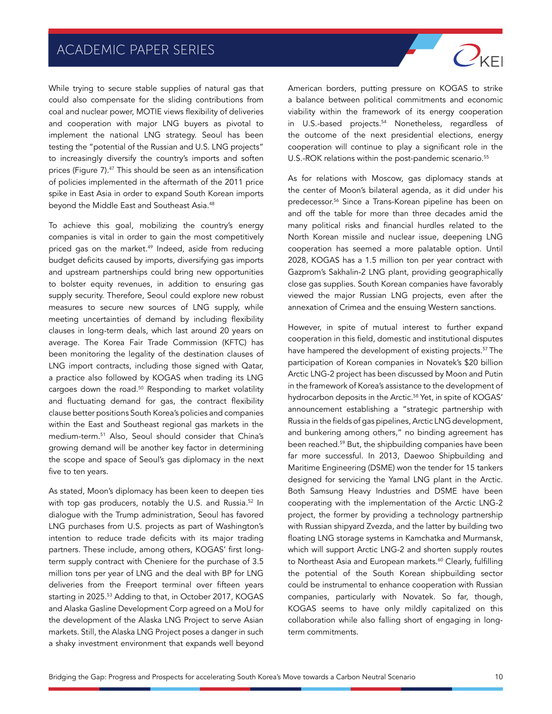While trying to secure stable supplies of natural gas that could also compensate for the sliding contributions from coal and nuclear power, MOTIE views flexibility of deliveries and cooperation with major LNG buyers as pivotal to implement the national LNG strategy. Seoul has been testing the "potential of the Russian and U.S. LNG projects" to increasingly diversify the country's imports and soften prices (Figure 7).<sup>47</sup> This should be seen as an intensification of policies implemented in the aftermath of the 2011 price spike in East Asia in order to expand South Korean imports beyond the Middle East and Southeast Asia.<sup>48</sup>

To achieve this goal, mobilizing the country's energy companies is vital in order to gain the most competitively priced gas on the market.<sup>49</sup> Indeed, aside from reducing budget deficits caused by imports, diversifying gas imports and upstream partnerships could bring new opportunities to bolster equity revenues, in addition to ensuring gas supply security. Therefore, Seoul could explore new robust measures to secure new sources of LNG supply, while meeting uncertainties of demand by including flexibility clauses in long-term deals, which last around 20 years on average. The Korea Fair Trade Commission (KFTC) has been monitoring the legality of the destination clauses of LNG import contracts, including those signed with Qatar, a practice also followed by KOGAS when trading its LNG cargoes down the road.50 Responding to market volatility and fluctuating demand for gas, the contract flexibility clause better positions South Korea's policies and companies within the East and Southeast regional gas markets in the medium-term.51 Also, Seoul should consider that China's growing demand will be another key factor in determining the scope and space of Seoul's gas diplomacy in the next five to ten years.

As stated, Moon's diplomacy has been keen to deepen ties with top gas producers, notably the U.S. and Russia.<sup>52</sup> In dialogue with the Trump administration, Seoul has favored LNG purchases from U.S. projects as part of Washington's intention to reduce trade deficits with its major trading partners. These include, among others, KOGAS' first longterm supply contract with Cheniere for the purchase of 3.5 million tons per year of LNG and the deal with BP for LNG deliveries from the Freeport terminal over fifteen years starting in 2025.53 Adding to that, in October 2017, KOGAS and Alaska Gasline Development Corp agreed on a MoU for the development of the Alaska LNG Project to serve Asian markets. Still, the Alaska LNG Project poses a danger in such a shaky investment environment that expands well beyond American borders, putting pressure on KOGAS to strike a balance between political commitments and economic viability within the framework of its energy cooperation in U.S.-based projects.<sup>54</sup> Nonetheless, regardless of the outcome of the next presidential elections, energy cooperation will continue to play a significant role in the U.S.-ROK relations within the post-pandemic scenario.<sup>55</sup>

 $O_{\text{KE}}$ 

As for relations with Moscow, gas diplomacy stands at the center of Moon's bilateral agenda, as it did under his predecessor.56 Since a Trans-Korean pipeline has been on and off the table for more than three decades amid the many political risks and financial hurdles related to the North Korean missile and nuclear issue, deepening LNG cooperation has seemed a more palatable option. Until 2028, KOGAS has a 1.5 million ton per year contract with Gazprom's Sakhalin-2 LNG plant, providing geographically close gas supplies. South Korean companies have favorably viewed the major Russian LNG projects, even after the annexation of Crimea and the ensuing Western sanctions.

However, in spite of mutual interest to further expand cooperation in this field, domestic and institutional disputes have hampered the development of existing projects.<sup>57</sup> The participation of Korean companies in Novatek's \$20 billion Arctic LNG-2 project has been discussed by Moon and Putin in the framework of Korea's assistance to the development of hydrocarbon deposits in the Arctic.<sup>58</sup> Yet, in spite of KOGAS' announcement establishing a "strategic partnership with Russia in the fields of gas pipelines, Arctic LNG development, and bunkering among others," no binding agreement has been reached.59 But, the shipbuilding companies have been far more successful. In 2013, Daewoo Shipbuilding and Maritime Engineering (DSME) won the tender for 15 tankers designed for servicing the Yamal LNG plant in the Arctic. Both Samsung Heavy Industries and DSME have been cooperating with the implementation of the Arctic LNG-2 project, the former by providing a technology partnership with Russian shipyard Zvezda, and the latter by building two floating LNG storage systems in Kamchatka and Murmansk, which will support Arctic LNG-2 and shorten supply routes to Northeast Asia and European markets.<sup>60</sup> Clearly, fulfilling the potential of the South Korean shipbuilding sector could be instrumental to enhance cooperation with Russian companies, particularly with Novatek. So far, though, KOGAS seems to have only mildly capitalized on this collaboration while also falling short of engaging in longterm commitments.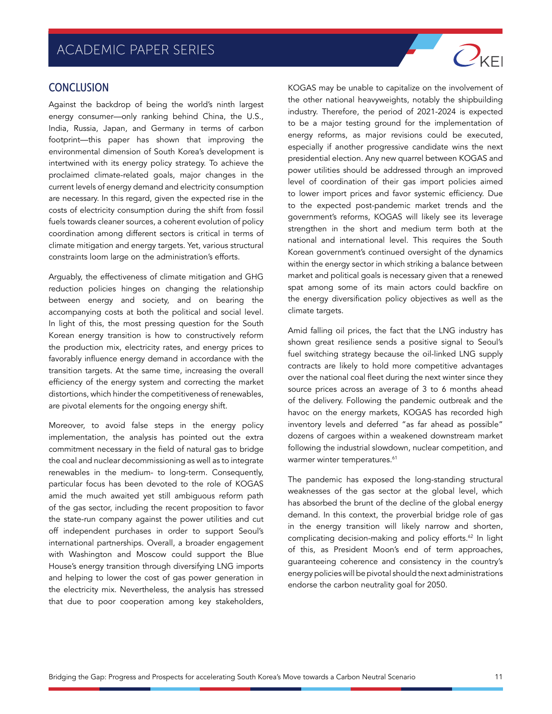## **CONCLUSION**

Against the backdrop of being the world's ninth largest energy consumer—only ranking behind China, the U.S., India, Russia, Japan, and Germany in terms of carbon footprint—this paper has shown that improving the environmental dimension of South Korea's development is intertwined with its energy policy strategy. To achieve the proclaimed climate-related goals, major changes in the current levels of energy demand and electricity consumption are necessary. In this regard, given the expected rise in the costs of electricity consumption during the shift from fossil fuels towards cleaner sources, a coherent evolution of policy coordination among different sectors is critical in terms of climate mitigation and energy targets. Yet, various structural constraints loom large on the administration's efforts.

Arguably, the effectiveness of climate mitigation and GHG reduction policies hinges on changing the relationship between energy and society, and on bearing the accompanying costs at both the political and social level. In light of this, the most pressing question for the South Korean energy transition is how to constructively reform the production mix, electricity rates, and energy prices to favorably influence energy demand in accordance with the transition targets. At the same time, increasing the overall efficiency of the energy system and correcting the market distortions, which hinder the competitiveness of renewables, are pivotal elements for the ongoing energy shift.

Moreover, to avoid false steps in the energy policy implementation, the analysis has pointed out the extra commitment necessary in the field of natural gas to bridge the coal and nuclear decommissioning as well as to integrate renewables in the medium- to long-term. Consequently, particular focus has been devoted to the role of KOGAS amid the much awaited yet still ambiguous reform path of the gas sector, including the recent proposition to favor the state-run company against the power utilities and cut off independent purchases in order to support Seoul's international partnerships. Overall, a broader engagement with Washington and Moscow could support the Blue House's energy transition through diversifying LNG imports and helping to lower the cost of gas power generation in the electricity mix. Nevertheless, the analysis has stressed that due to poor cooperation among key stakeholders,

KOGAS may be unable to capitalize on the involvement of the other national heavyweights, notably the shipbuilding industry. Therefore, the period of 2021-2024 is expected to be a major testing ground for the implementation of energy reforms, as major revisions could be executed, especially if another progressive candidate wins the next presidential election. Any new quarrel between KOGAS and power utilities should be addressed through an improved level of coordination of their gas import policies aimed to lower import prices and favor systemic efficiency. Due to the expected post-pandemic market trends and the government's reforms, KOGAS will likely see its leverage strengthen in the short and medium term both at the national and international level. This requires the South Korean government's continued oversight of the dynamics within the energy sector in which striking a balance between market and political goals is necessary given that a renewed spat among some of its main actors could backfire on the energy diversification policy objectives as well as the climate targets.

 $O_{\text{KF}}$ 

Amid falling oil prices, the fact that the LNG industry has shown great resilience sends a positive signal to Seoul's fuel switching strategy because the oil-linked LNG supply contracts are likely to hold more competitive advantages over the national coal fleet during the next winter since they source prices across an average of 3 to 6 months ahead of the delivery. Following the pandemic outbreak and the havoc on the energy markets, KOGAS has recorded high inventory levels and deferred "as far ahead as possible" dozens of cargoes within a weakened downstream market following the industrial slowdown, nuclear competition, and warmer winter temperatures.<sup>61</sup>

The pandemic has exposed the long-standing structural weaknesses of the gas sector at the global level, which has absorbed the brunt of the decline of the global energy demand. In this context, the proverbial bridge role of gas in the energy transition will likely narrow and shorten, complicating decision-making and policy efforts.<sup>62</sup> In light of this, as President Moon's end of term approaches, guaranteeing coherence and consistency in the country's energy policies will be pivotal should the next administrations endorse the carbon neutrality goal for 2050.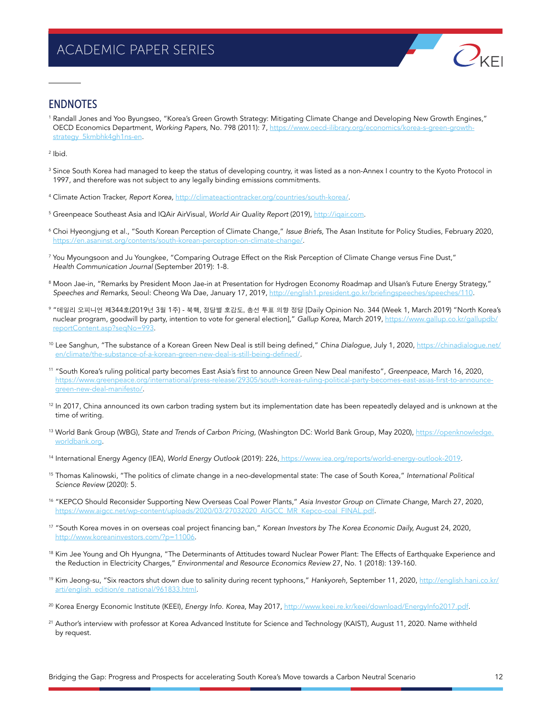

## ENDNOTES

<sup>1</sup> Randall Jones and Yoo Byungseo, "Korea's Green Growth Strategy: Mitigating Climate Change and Developing New Growth Engines," OECD Economics Department, Working Papers, No. 798 (2011): 7, [https://www.oecd-ilibrary.org/economics/korea-s-green-growth](https://www.oecd-ilibrary.org/economics/korea-s-green-growth-strategy_5kmbhk4gh1ns-en)[strategy\\_5kmbhk4gh1ns-en](https://www.oecd-ilibrary.org/economics/korea-s-green-growth-strategy_5kmbhk4gh1ns-en).

<sup>2</sup> Ibid.

- <sup>3</sup> Since South Korea had managed to keep the status of developing country, it was listed as a non-Annex I country to the Kyoto Protocol in 1997, and therefore was not subject to any legally binding emissions commitments.
- <sup>4</sup> Climate Action Tracker, *Report Korea,* [http://climateactiontracker.org/countries/south-korea/.](http://climateactiontracker.org/countries/south-korea/)
- <sup>5</sup> Greenpeace Southeast Asia and IQAir AirVisual, *World Air Quality Report* (2019), [http://iqair.com.](http://iqair.com)
- <sup>6</sup> Choi Hyeongjung et al., "South Korean Perception of Climate Change," *Issue Briefs,* The Asan Institute for Policy Studies, February 2020, [https://en.asaninst.org/contents/south-korean-perception-on-climate-change/.](https://en.asaninst.org/contents/south-korean-perception-on-climate-change/)
- <sup>7</sup> You Myoungsoon and Ju Youngkee, "Comparing Outrage Effect on the Risk Perception of Climate Change versus Fine Dust," *Health Communication Journal* (September 2019): 1-8.
- 8 Moon Jae-in, "Remarks by President Moon Jae-in at Presentation for Hydrogen Economy Roadmap and Ulsan's Future Energy Strategy," Speeches and Remarks, Seoul: Cheong Wa Dae, January 17, 2019, <http://english1.president.go.kr/briefingspeeches/speeches/110>.
- <sup>9</sup> "데일리 오피니언 제344호(2019년 3월 1주) 북핵, 정당별 호감도, 총선 투표 의향 정당 [Daily Opinion No. 344 (Week 1, March 2019) "North Korea's nuclear program, goodwill by party, intention to vote for general election]," *Gallup Korea,* March 2019, [https://www.gallup.co.kr/gallupdb/](https://www.gallup.co.kr/gallupdb/reportContent.asp?seqNo=993) [reportContent.asp?seqNo=993.](https://www.gallup.co.kr/gallupdb/reportContent.asp?seqNo=993)
- <sup>10</sup> Lee Sanghun, "The substance of a Korean Green New Deal is still being defined," *China Dialogue,* July 1, 2020, [https://chinadialogue.net/](https://chinadialogue.net/en/climate/the-substance-of-a-korean-green-new-deal-is-still-being-defined/) [en/climate/the-substance-of-a-korean-green-new-deal-is-still-being-defined/](https://chinadialogue.net/en/climate/the-substance-of-a-korean-green-new-deal-is-still-being-defined/).
- <sup>11</sup> "South Korea's ruling political party becomes East Asia's first to announce Green New Deal manifesto", *Greenpeace,* March 16, 2020, [https://www.greenpeace.org/international/press-release/29305/south-koreas-ruling-political-party-becomes-east-asias-first-to-announce](https://www.greenpeace.org/international/press-release/29305/south-koreas-ruling-political-party-becomes-east-asias-first-to-announce-green-new-deal-manifesto/)[green-new-deal-manifesto/](https://www.greenpeace.org/international/press-release/29305/south-koreas-ruling-political-party-becomes-east-asias-first-to-announce-green-new-deal-manifesto/).
- <sup>12</sup> In 2017, China announced its own carbon trading system but its implementation date has been repeatedly delayed and is unknown at the time of writing.
- <sup>13</sup> World Bank Group (WBG), State and Trends of Carbon Pricing, (Washington DC: World Bank Group, May 2020), [https://openknowledge.](https://openknowledge.worldbank.org) [worldbank.org](https://openknowledge.worldbank.org).
- <sup>14</sup> International Energy Agency (IEA), World Energy Outlook (2019): 226[, https://www.iea.org/reports/world-energy-outlook-2019]( https://www.iea.org/reports/world-energy-outlook-2019).
- <sup>15</sup> Thomas Kalinowski, "The politics of climate change in a neo-developmental state: The case of South Korea," *International Political Science Review* (2020): 5.
- <sup>16</sup> "KEPCO Should Reconsider Supporting New Overseas Coal Power Plants," *Asia Investor Group on Climate Change,* March 27, 2020, [https://www.aigcc.net/wp-content/uploads/2020/03/27032020\\_AIGCC\\_MR\\_Kepco-coal\\_FINAL.pdf](https://www.aigcc.net/wp-content/uploads/2020/03/27032020_AIGCC_MR_Kepco-coal_FINAL.pdf).
- <sup>17</sup> "South Korea moves in on overseas coal project financing ban," Korean Investors by The Korea Economic Daily, August 24, 2020, [http://www.koreaninvestors.com/?p=11006.](http://www.koreaninvestors.com/?p=11006)
- <sup>18</sup> Kim Jee Young and Oh Hyungna, "The Determinants of Attitudes toward Nuclear Power Plant: The Effects of Earthquake Experience and the Reduction in Electricity Charges," Environmental and Resource Economics Review 27, No. 1 (2018): 139-160.
- <sup>19</sup> Kim Jeong-su, "Six reactors shut down due to salinity during recent typhoons," Hankyoreh, September 11, 2020, [http://english.hani.co.kr/](http://english.hani.co.kr/arti/english_edition/e_national/961833.html) [arti/english\\_edition/e\\_national/961833.html.](http://english.hani.co.kr/arti/english_edition/e_national/961833.html)
- <sup>20</sup> Korea Energy Economic Institute (KEEI), Energy Info. Korea, May 2017, [http://www.keei.re.kr/keei/download/EnergyInfo2017.pdf.](http://www.keei.re.kr/keei/download/EnergyInfo2017.pdf)
- <sup>21</sup> Author's interview with professor at Korea Advanced Institute for Science and Technology (KAIST), August 11, 2020. Name withheld by request.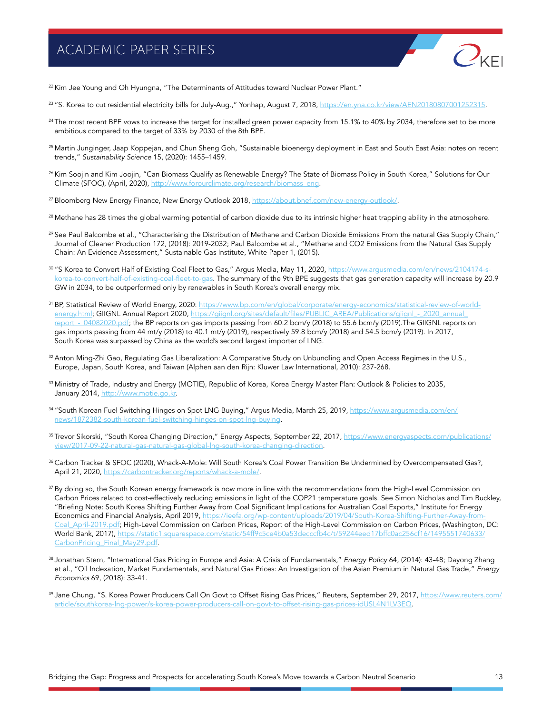

<sup>22</sup> Kim Jee Young and Oh Hyungna, "The Determinants of Attitudes toward Nuclear Power Plant."

- <sup>23</sup> "S. Korea to cut residential electricity bills for July-Aug.," Yonhap, August 7, 2018,<https://en.yna.co.kr/view/AEN20180807001252315>.
- <sup>24</sup> The most recent BPE vows to increase the target for installed green power capacity from 15.1% to 40% by 2034, therefore set to be more ambitious compared to the target of 33% by 2030 of the 8th BPE.
- 25 Martin Junginger, Jaap Koppejan, and Chun Sheng Goh, "Sustainable bioenergy deployment in East and South East Asia: notes on recent trends," Sustainability Science 15, (2020): 1455–1459.
- <sup>26</sup> Kim Soojin and Kim Joojin, "Can Biomass Qualify as Renewable Energy? The State of Biomass Policy in South Korea," Solutions for Our Climate (SFOC), (April, 2020), [http://www.forourclimate.org/research/biomass\\_eng.](http://www.forourclimate.org/research/biomass_eng)
- 27 Bloomberg New Energy Finance, New Energy Outlook 2018, [https://about.bnef.com/new-energy-outlook/.](https://about.bnef.com/new-energy-outlook/)
- 28 Methane has 28 times the global warming potential of carbon dioxide due to its intrinsic higher heat trapping ability in the atmosphere.
- <sup>29</sup> See Paul Balcombe et al., "Characterising the Distribution of Methane and Carbon Dioxide Emissions From the natural Gas Supply Chain," Journal of Cleaner Production 172, (2018): 2019-2032; Paul Balcombe et al., "Methane and CO2 Emissions from the Natural Gas Supply Chain: An Evidence Assessment," Sustainable Gas Institute, White Paper 1, (2015).
- 30 "S Korea to Convert Half of Existing Coal Fleet to Gas," Argus Media, May 11, 2020, [https://www.argusmedia.com/en/news/2104174-s](https://www.argusmedia.com/en/news/2104174-s-korea-to-convert-half-of-existing-coal-fleet-to-gas)[korea-to-convert-half-of-existing-coal-fleet-to-gas](https://www.argusmedia.com/en/news/2104174-s-korea-to-convert-half-of-existing-coal-fleet-to-gas). The summary of the 9th BPE suggests that gas generation capacity will increase by 20.9 GW in 2034, to be outperformed only by renewables in South Korea's overall energy mix.
- <sup>31</sup> BP, Statistical Review of World Energy, 2020: [https://www.bp.com/en/global/corporate/energy-economics/statistical-review-of-world](https://www.bp.com/en/global/corporate/energy-economics/statistical-review-of-world-energy.html)[energy.html](https://www.bp.com/en/global/corporate/energy-economics/statistical-review-of-world-energy.html); GIIGNL Annual Report 2020, [https://giignl.org/sites/default/files/PUBLIC\\_AREA/Publications/giignl\\_-\\_2020\\_annual\\_](https://giignl.org/sites/default/files/PUBLIC_AREA/Publications/giignl_-_2020_annual_report_-_04082020.pdf) report - 04082020.pdf; the BP reports on gas imports passing from 60.2 bcm/y (2018) to 55.6 bcm/y (2019). The GIIGNL reports on gas imports passing from 44 mt/y (2018) to 40.1 mt/y (2019), respectively 59.8 bcm/y (2018) and 54.5 bcm/y (2019). In 2017, South Korea was surpassed by China as the world's second largest importer of LNG.
- 32 Anton Ming-Zhi Gao, Regulating Gas Liberalization: A Comparative Study on Unbundling and Open Access Regimes in the U.S., Europe, Japan, South Korea, and Taiwan (Alphen aan den Rijn: Kluwer Law International, 2010): 237-268.
- 33 Ministry of Trade, Industry and Energy (MOTIE), Republic of Korea, Korea Energy Master Plan: Outlook & Policies to 2035, January 2014, [http://www.motie.go.kr.](http://www.motie.go.kr)
- 34 "South Korean Fuel Switching Hinges on Spot LNG Buying," Argus Media, March 25, 2019, [https://www.argusmedia.com/en/](https://www.argusmedia.com/en/news/1872382-south-korean-fuel-switching-hinges-on-spot-lng-buying) [news/1872382-south-korean-fuel-switching-hinges-on-spot-lng-buying](https://www.argusmedia.com/en/news/1872382-south-korean-fuel-switching-hinges-on-spot-lng-buying).
- 35 Trevor Sikorski, "South Korea Changing Direction," Energy Aspects, September 22, 2017, [https://www.energyaspects.com/publications/](https://www.energyaspects.com/publications/view/2017-09-22-natural-gas-natural-gas-global-lng-south-korea-changing-direction) [view/2017-09-22-natural-gas-natural-gas-global-lng-south-korea-changing-direction](https://www.energyaspects.com/publications/view/2017-09-22-natural-gas-natural-gas-global-lng-south-korea-changing-direction).
- 36 Carbon Tracker & SFOC (2020), Whack-A-Mole: Will South Korea's Coal Power Transition Be Undermined by Overcompensated Gas?, April 21, 2020, [https://carbontracker.org/reports/whack-a-mole/.](https://carbontracker.org/reports/whack-a-mole/)
- <sup>37</sup> By doing so, the South Korean energy framework is now more in line with the recommendations from the High-Level Commission on Carbon Prices related to cost-effectively reducing emissions in light of the COP21 temperature goals. See Simon Nicholas and Tim Buckley, "Briefing Note: South Korea Shifting Further Away from Coal Significant Implications for Australian Coal Exports," Institute for Energy Economics and Financial Analysis, April 2019, [https://ieefa.org/wp-content/uploads/2019/04/South-Korea-Shifting-Further-Away-from-](https://ieefa.org/wp-content/uploads/2019/04/South-Korea-Shifting-Further-Away-from-Coal_April-2019.pdf)[Coal\\_April-2019.pdf;](https://ieefa.org/wp-content/uploads/2019/04/South-Korea-Shifting-Further-Away-from-Coal_April-2019.pdf) High-Level Commission on Carbon Prices, Report of the High-Level Commission on Carbon Prices, (Washington, DC: World Bank, 2017), https://static1.squarespace.com/static/54ff9c5ce4b0a53decccfb4c/t/59244eed17bffc0ac256cf16/1495551740 [CarbonPricing\\_Final\\_May29.pdf.](https://static1.squarespace.com/static/54ff9c5ce4b0a53decccfb4c/t/59244eed17bffc0ac256cf16/1495551740633/CarbonPricing_Final_May29.pdf)
- 38 Jonathan Stern, "International Gas Pricing in Europe and Asia: A Crisis of Fundamentals," Energy Policy 64, (2014): 43-48; Dayong Zhang et al., "Oil Indexation, Market Fundamentals, and Natural Gas Prices: An Investigation of the Asian Premium in Natural Gas Trade," Energy Economics 69, (2018): 33-41.
- 39 Jane Chung, "S. Korea Power Producers Call On Govt to Offset Rising Gas Prices," Reuters, September 29, 2017, [https://www.reuters.com/](https://www.reuters.com/article/southkorea-lng-power/s-korea-power-producers-call-on-govt-to-offset-rising-gas-prices-idUSL4N1LV3EQ) [article/southkorea-lng-power/s-korea-power-producers-call-on-govt-to-offset-rising-gas-prices-idUSL4N1LV3EQ.](https://www.reuters.com/article/southkorea-lng-power/s-korea-power-producers-call-on-govt-to-offset-rising-gas-prices-idUSL4N1LV3EQ)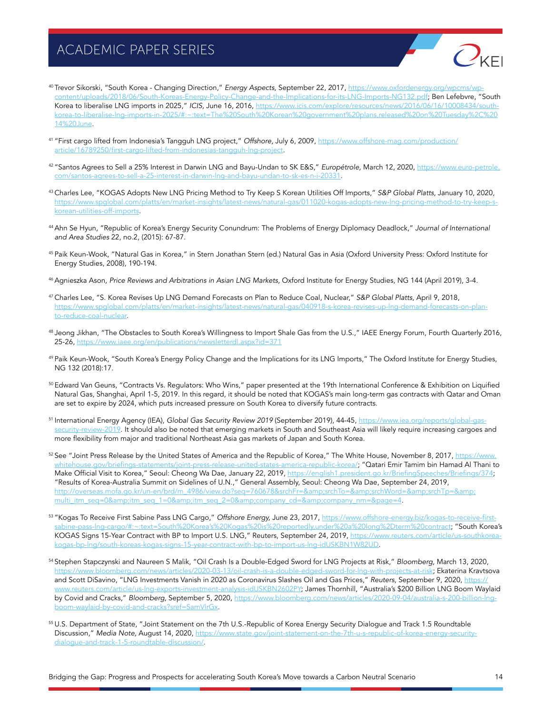

- 40 Trevor Sikorski, "South Korea Changing Direction," Energy Aspects, September 22, 2017, [https://www.oxfordenergy.org/wpcms/wp](https://www.oxfordenergy.org/wpcms/wp-content/uploads/2018/06/South-Koreas-Energy-Policy-Change-and-the-Implications-for-its-LNG-Imports-NG132.pdf)[content/uploads/2018/06/South-Koreas-Energy-Policy-Change-and-the-Implications-for-its-LNG-Imports-NG132.pdf;](https://www.oxfordenergy.org/wpcms/wp-content/uploads/2018/06/South-Koreas-Energy-Policy-Change-and-the-Implications-for-its-LNG-Imports-NG132.pdf) Ben Lefebvre, "South Korea to liberalise LNG imports in 2025," *ICIS,* June 16, 2016, [https://www.icis.com/explore/resources/news/2016/06/16/10008434/south](https://www.icis.com/explore/resources/news/2016/06/16/10008434/south-korea-to-liberalise-lng-imports-in-2025/#:~:text=The%20South%20Korean%20government%20plans,released%20on%20Tuesday%2C%2014%20June)[korea-to-liberalise-lng-imports-in-2025/#:~:text=The%20South%20Korean%20government%20plans,released%20on%20Tuesday%2C%20](https://www.icis.com/explore/resources/news/2016/06/16/10008434/south-korea-to-liberalise-lng-imports-in-2025/#:~:text=The%20South%20Korean%20government%20plans,released%20on%20Tuesday%2C%2014%20June) [14%20June](https://www.icis.com/explore/resources/news/2016/06/16/10008434/south-korea-to-liberalise-lng-imports-in-2025/#:~:text=The%20South%20Korean%20government%20plans,released%20on%20Tuesday%2C%2014%20June).
- 41 "First cargo lifted from Indonesia's Tangguh LNG project," Offshore, July 6, 2009, [https://www.offshore-mag.com/production/](https://www.offshore-mag.com/production/article/16789250/first-cargo-lifted-from-indonesias-tangguh-lng-project) [article/16789250/first-cargo-lifted-from-indonesias-tangguh-lng-project](https://www.offshore-mag.com/production/article/16789250/first-cargo-lifted-from-indonesias-tangguh-lng-project).
- 42 "Santos Agrees to Sell a 25% Interest in Darwin LNG and Bayu-Undan to SK E&S," Europétrole, March 12, 2020, [https://www.euro-petrole.](https://www.euro-petrole.com/santos-agrees-to-sell-a-25-interest-in-darwin-lng-and-bayu-undan-to-sk-es-n-i-20331) [com/santos-agrees-to-sell-a-25-interest-in-darwin-lng-and-bayu-undan-to-sk-es-n-i-20331.](https://www.euro-petrole.com/santos-agrees-to-sell-a-25-interest-in-darwin-lng-and-bayu-undan-to-sk-es-n-i-20331)
- 43 Charles Lee, "KOGAS Adopts New LNG Pricing Method to Try Keep S Korean Utilities Off Imports," S&P Global Platts, January 10, 2020, [https://www.spglobal.com/platts/en/market-insights/latest-news/natural-gas/011020-kogas-adopts-new-lng-pricing-method-to-try-keep-s](https://www.spglobal.com/platts/en/market-insights/latest-news/natural-gas/011020-kogas-adopts-new-lng-pricing-method-to-try-keep-s-korean-utilities-off-imports)[korean-utilities-off-imports](https://www.spglobal.com/platts/en/market-insights/latest-news/natural-gas/011020-kogas-adopts-new-lng-pricing-method-to-try-keep-s-korean-utilities-off-imports).
- 44 Ahn Se Hyun, "Republic of Korea's Energy Security Conundrum: The Problems of Energy Diplomacy Deadlock," *Journal of International and Area Studies* 22, no.2, (2015): 67-87.
- 45 Paik Keun-Wook, "Natural Gas in Korea," in Stern Jonathan Stern (ed.) Natural Gas in Asia (Oxford University Press: Oxford Institute for Energy Studies, 2008), 190-194.
- 46 Agnieszka Ason, Price Reviews and Arbitrations in Asian LNG Markets, Oxford Institute for Energy Studies, NG 144 (April 2019), 3-4.
- 47 Charles Lee, "S. Korea Revises Up LNG Demand Forecasts on Plan to Reduce Coal, Nuclear," S&P Global Platts, April 9, 2018, [https://www.spglobal.com/platts/en/market-insights/latest-news/natural-gas/040918-s-korea-revises-up-lng-demand-forecasts-on-plan](https://www.spglobal.com/platts/en/market-insights/latest-news/natural-gas/040918-s-korea-revises-up-lng-demand-forecasts-on-plan-
to-reduce-coal-nuclear)[to-reduce-coal-nuclear](https://www.spglobal.com/platts/en/market-insights/latest-news/natural-gas/040918-s-korea-revises-up-lng-demand-forecasts-on-plan-
to-reduce-coal-nuclear).
- 48 Jeong Jikhan, "The Obstacles to South Korea's Willingness to Import Shale Gas from the U.S.," IAEE Energy Forum, Fourth Quarterly 2016, 25-26,<https://www.iaee.org/en/publications/newsletterdl.aspx?id=371>
- 49 Paik Keun-Wook, "South Korea's Energy Policy Change and the Implications for its LNG Imports," The Oxford Institute for Energy Studies, NG 132 (2018):17.
- <sup>50</sup>Edward Van Geuns, "Contracts Vs. Regulators: Who Wins," paper presented at the 19th International Conference & Exhibition on Liquified Natural Gas, Shanghai, April 1-5, 2019. In this regard, it should be noted that KOGAS's main long-term gas contracts with Qatar and Oman are set to expire by 2024, which puts increased pressure on South Korea to diversify future contracts.
- 51 International Energy Agency (IEA), Global Gas Security Review 2019 (September 2019), 44-45, [https://www.iea.org/reports/global-gas](https://www.iea.org/reports/global-gas-security-review-2019)[security-review-2019.](https://www.iea.org/reports/global-gas-security-review-2019) It should also be noted that emerging markets in South and Southeast Asia will likely require increasing cargoes and more flexibility from major and traditional Northeast Asia gas markets of Japan and South Korea.
- 52 See "Joint Press Release by the United States of America and the Republic of Korea," The White House, November 8, 2017, [https://www.](https://www.whitehouse.gov/briefings-statements/joint-press-release-united-states-america-republic-korea/) [whitehouse.gov/briefings-statements/joint-press-release-united-states-america-republic-korea/](https://www.whitehouse.gov/briefings-statements/joint-press-release-united-states-america-republic-korea/); "Qatari Emir Tamim bin Hamad Al Thani to Make Official Visit to Korea," Seoul: Cheong Wa Dae, January 22, 2019,<https://english1.president.go.kr/BriefingSpeeches/Briefings/374>; "Results of Korea-Australia Summit on Sidelines of U.N.," General Assembly, Seoul: Cheong Wa Dae, September 24, 2019, [http://overseas.mofa.go.kr/un-en/brd/m\\_4986/view.do?seq=760678&srchFr=&srchTo=&srchWord=&srchTp=&](http://overseas.mofa.go.kr/un-en/brd/m_4986/view.do?seq=760678&srchFr=&srchTo=&srchWord=&srchTp=&
multi_itm_seq=0&itm_seq_1=0&itm_seq_2=0&company_cd=&company_nm=&page=4) [multi\\_itm\\_seq=0&itm\\_seq\\_1=0&itm\\_seq\\_2=0&company\\_cd=&company\\_nm=&page=4.](http://overseas.mofa.go.kr/un-en/brd/m_4986/view.do?seq=760678&srchFr=&srchTo=&srchWord=&srchTp=&
multi_itm_seq=0&itm_seq_1=0&itm_seq_2=0&company_cd=&company_nm=&page=4)
- 53 "Kogas To Receive First Sabine Pass LNG Cargo," Offshore Energy, June 23, 2017, [https://www.offshore-energy.biz/kogas-to-receive-first](https://www.offshore-energy.biz/kogas-to-receive-first-sabine-pass-lng-cargo/#:~:text=South%20Korea’s%20Kogas%20is%20reportedly,under%20a%20long%2Dterm%20contract)[sabine-pass-lng-cargo/#:~:text=South%20Korea's%20Kogas%20is%20reportedly,under%20a%20long%2Dterm%20contract](https://www.offshore-energy.biz/kogas-to-receive-first-sabine-pass-lng-cargo/#:~:text=South%20Korea’s%20Kogas%20is%20reportedly,under%20a%20long%2Dterm%20contract); "South Korea's KOGAS Signs 15-Year Contract with BP to Import U.S. LNG," Reuters, September 24, 2019, [https://www.reuters.com/article/us-southkorea](https://www.reuters.com/article/us-southkorea-kogas-bp-lng/south-koreas-kogas-signs-15-year-contract-with-bp-to-import-us-lng-idUSKBN1W82UD)[kogas-bp-lng/south-koreas-kogas-signs-15-year-contract-with-bp-to-import-us-lng-idUSKBN1W82UD](https://www.reuters.com/article/us-southkorea-kogas-bp-lng/south-koreas-kogas-signs-15-year-contract-with-bp-to-import-us-lng-idUSKBN1W82UD).
- 54 Stephen Stapczynski and Naureen S Malik, "Oil Crash Is a Double-Edged Sword for LNG Projects at Risk," Bloomberg, March 13, 2020, <https://www.bloomberg.com/news/articles/2020-03-13/oil-crash-is-a-double-edged-sword-for-lng-with-projects-at-risk>; Ekaterina Kravtsova and Scott DiSavino, "LNG Investments Vanish in 2020 as Coronavirus Slashes Oil and Gas Prices," *Reuters,* September 9, 2020, [https://](https://www.reuters.com/article/us-lng-exports-investment-analysis-idUSKBN2602PY) [www.reuters.com/article/us-lng-exports-investment-analysis-idUSKBN2602PY](https://www.reuters.com/article/us-lng-exports-investment-analysis-idUSKBN2602PY); James Thornhill, "Australia's \$200 Billion LNG Boom Waylaid by Covid and Cracks," Bloomberg, September 5, 2020, [https://www.bloomberg.com/news/articles/2020-09-04/australia-s-200-billion-lng](https://www.bloomberg.com/news/articles/2020-09-04/australia-s-200-billion-lng-boom-waylaid-by-covid-and-cracks?sref=SamVlrGx)[boom-waylaid-by-covid-and-cracks?sref=SamVlrGx.](https://www.bloomberg.com/news/articles/2020-09-04/australia-s-200-billion-lng-boom-waylaid-by-covid-and-cracks?sref=SamVlrGx)
- 55 U.S. Department of State, "Joint Statement on the 7th U.S.-Republic of Korea Energy Security Dialogue and Track 1.5 Roundtable Discussion," Media Note, August 14, 2020, [https://www.state.gov/joint-statement-on-the-7th-u-s-republic-of-korea-energy-security](https://www.state.gov/joint-statement-on-the-7th-u-s-republic-of-korea-energy-security-dialogue-and-track-1-5-roundtable-discussion/)[dialogue-and-track-1-5-roundtable-discussion/.](https://www.state.gov/joint-statement-on-the-7th-u-s-republic-of-korea-energy-security-dialogue-and-track-1-5-roundtable-discussion/)